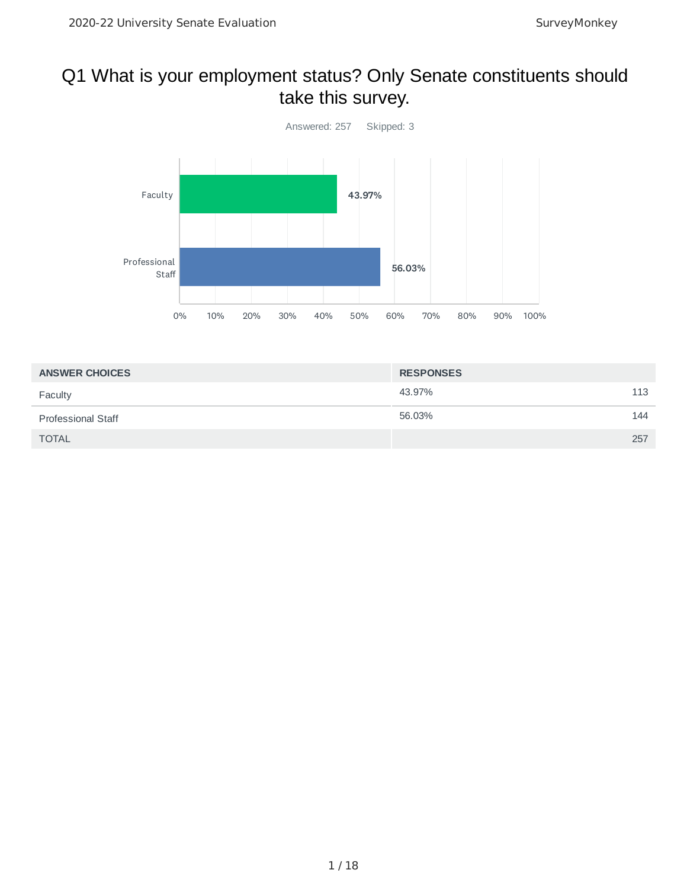# Q1 What is your employment status? Only Senate constituents should take this survey.



| <b>ANSWER CHOICES</b>     | <b>RESPONSES</b> |     |
|---------------------------|------------------|-----|
| Faculty                   | 43.97%           | 113 |
| <b>Professional Staff</b> | 56.03%           | 144 |
| <b>TOTAL</b>              |                  | 257 |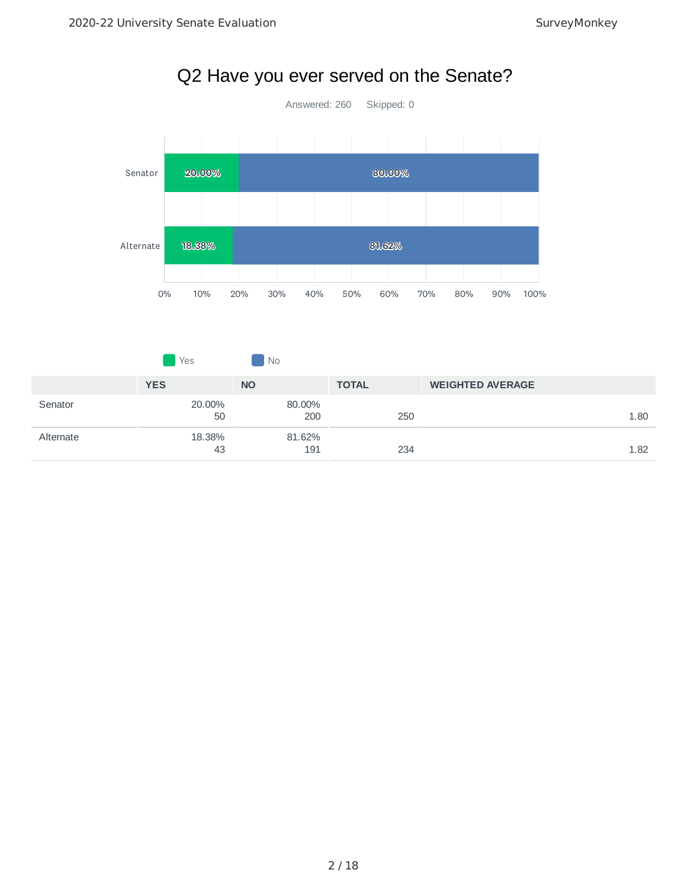

# Q2 Have you ever served on the Senate?

|           | <b>Yes</b>   | N <sub>0</sub> |              |                         |      |
|-----------|--------------|----------------|--------------|-------------------------|------|
|           | <b>YES</b>   | <b>NO</b>      | <b>TOTAL</b> | <b>WEIGHTED AVERAGE</b> |      |
| Senator   | 20.00%<br>50 | 80.00%<br>200  | 250          |                         | 1.80 |
| Alternate | 18.38%<br>43 | 81.62%<br>191  | 234          |                         | 1.82 |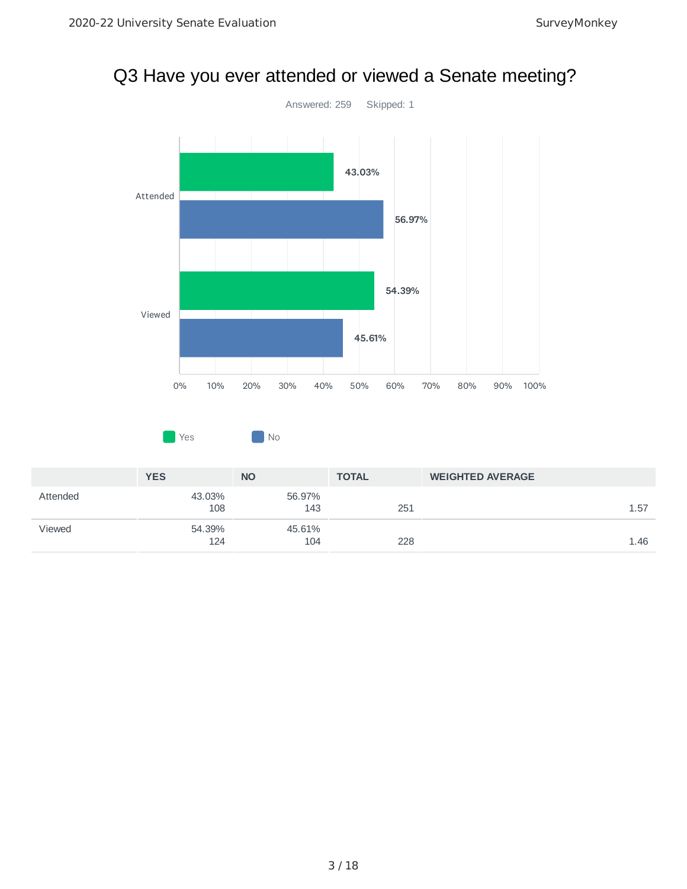# Q3 Have you ever attended or viewed a Senate meeting?





|          | <b>YES</b>    | <b>NO</b>     | <b>TOTAL</b> | <b>WEIGHTED AVERAGE</b> |
|----------|---------------|---------------|--------------|-------------------------|
| Attended | 43.03%<br>108 | 56.97%<br>143 | 251          | 1.57                    |
| Viewed   | 54.39%<br>124 | 45.61%<br>104 | 228          | 1.46                    |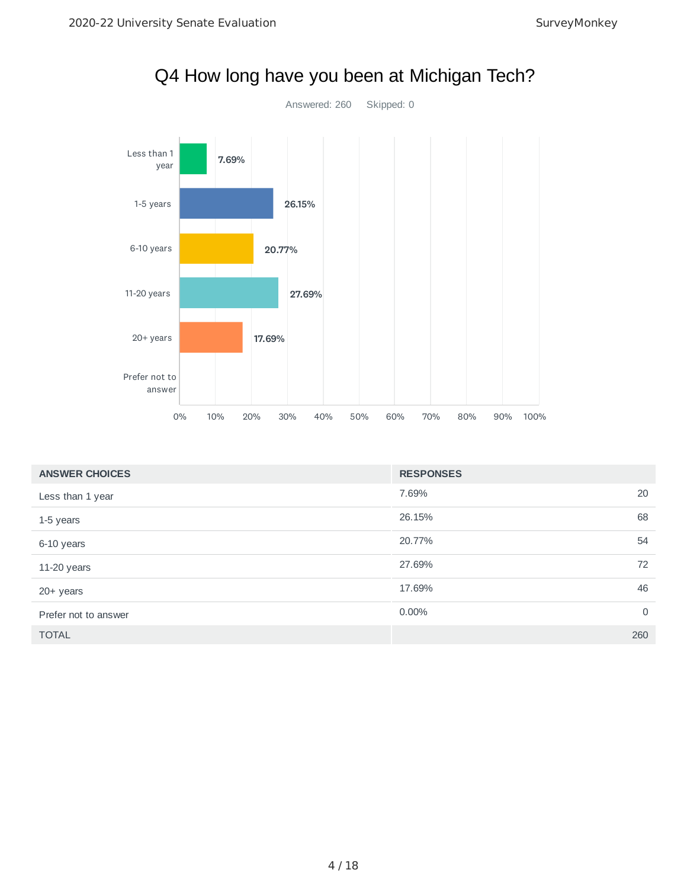

| <b>ANSWER CHOICES</b> | <b>RESPONSES</b> |             |
|-----------------------|------------------|-------------|
| Less than 1 year      | 7.69%            | 20          |
| 1-5 years             | 26.15%           | 68          |
| 6-10 years            | 20.77%           | 54          |
| 11-20 years           | 27.69%           | 72          |
| $20+$ years           | 17.69%           | 46          |
| Prefer not to answer  | 0.00%            | $\mathbf 0$ |
| <b>TOTAL</b>          |                  | 260         |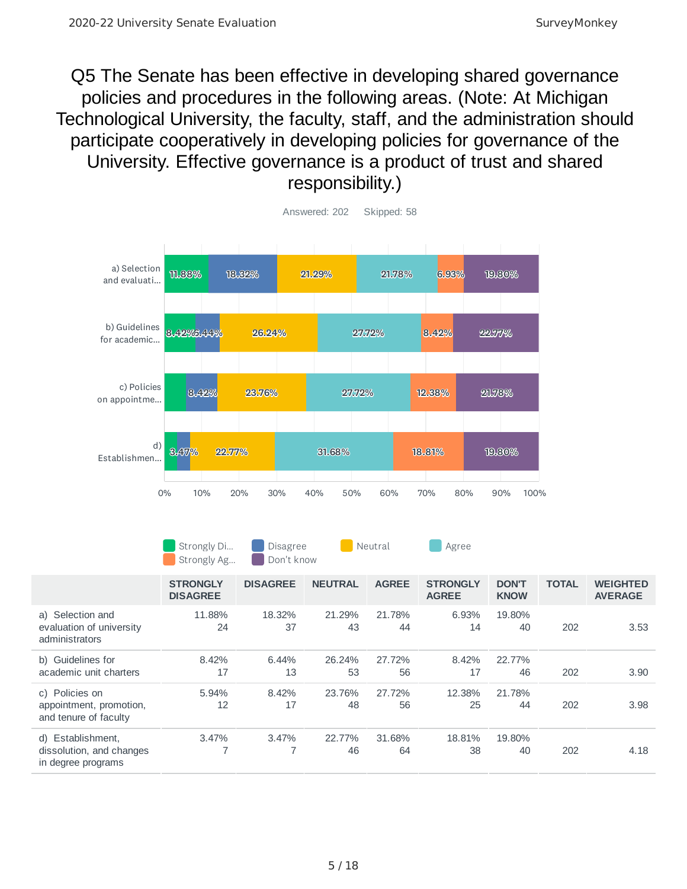Q5 The Senate has been effective in developing shared governance policies and procedures in the following areas. (Note: At Michigan Technological University, the faculty, staff, and the administration should participate cooperatively in developing policies for governance of the University. Effective governance is a product of trust and shared responsibility.)



Strongly Di… Disagree **Neutral Agree** 

Strongly Ag... **Don't know** 

|                                                                     | <b>STRONGLY</b><br><b>DISAGREE</b> | <b>DISAGREE</b>         | <b>NEUTRAL</b> | <b>AGREE</b> | <b>STRONGLY</b><br><b>AGREE</b> | <b>DON'T</b><br><b>KNOW</b> | <b>TOTAL</b> | <b>WEIGHTED</b><br><b>AVERAGE</b> |
|---------------------------------------------------------------------|------------------------------------|-------------------------|----------------|--------------|---------------------------------|-----------------------------|--------------|-----------------------------------|
| a) Selection and<br>evaluation of university<br>administrators      | 11.88%<br>24                       | 18.32%<br>37            | 21.29%<br>43   | 21.78%<br>44 | 6.93%<br>14                     | 19.80%<br>40                | 202          | 3.53                              |
| b) Guidelines for<br>academic unit charters                         | 8.42%<br>17                        | 6.44%<br>13             | 26.24%<br>53   | 27.72%<br>56 | 8.42%<br>17                     | 22.77%<br>46                | 202          | 3.90                              |
| c) Policies on<br>appointment, promotion,<br>and tenure of faculty  | 5.94%<br>12                        | 8.42%<br>17             | 23.76%<br>48   | 27.72%<br>56 | 12.38%<br>25                    | 21.78%<br>44                | 202          | 3.98                              |
| d) Establishment,<br>dissolution, and changes<br>in degree programs | 3.47%<br>$\overline{\phantom{0}}$  | 3.47%<br>$\overline{7}$ | 22.77%<br>46   | 31.68%<br>64 | 18.81%<br>38                    | 19.80%<br>40                | 202          | 4.18                              |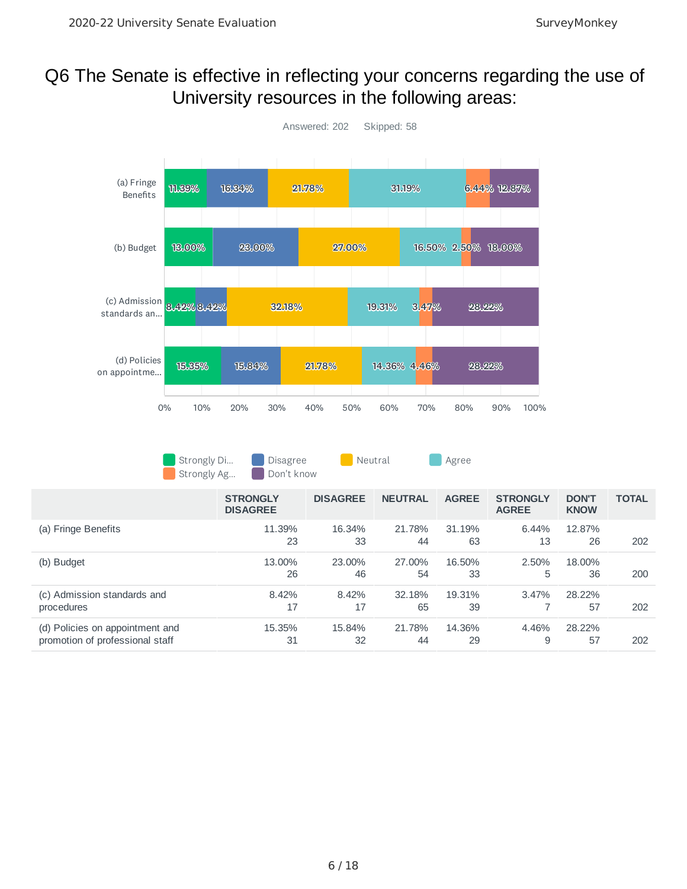# Q6 The Senate is effective in reflecting your concerns regarding the use of University resources in the following areas:

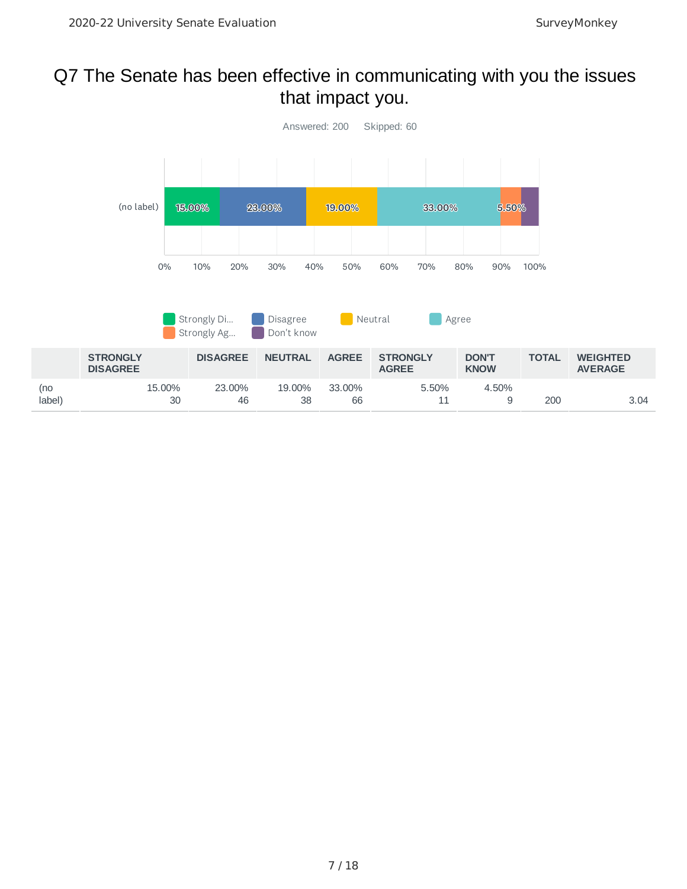# Q7 The Senate has been effective in communicating with you the issues that impact you.

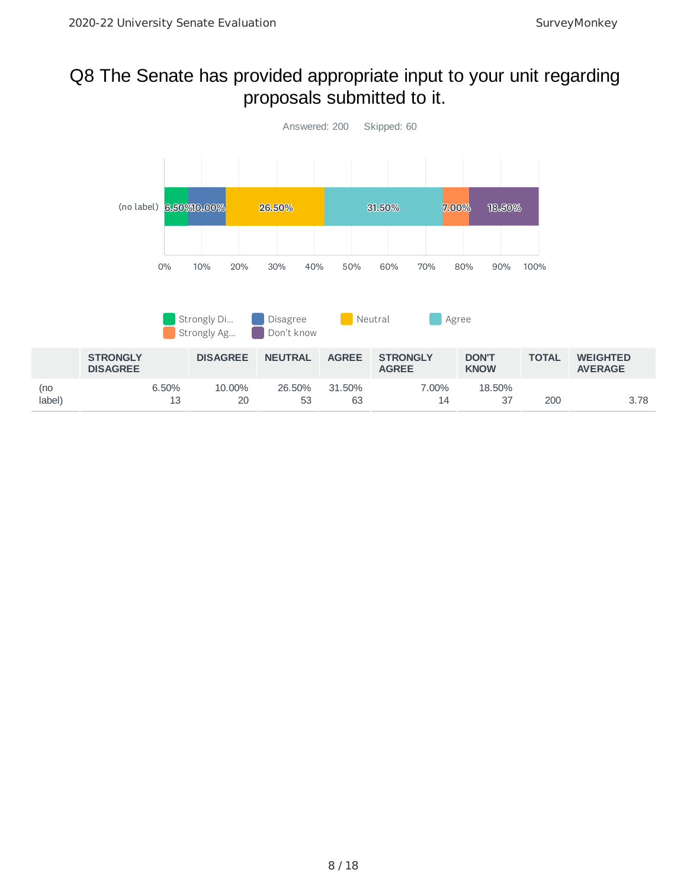# Q8 The Senate has provided appropriate input to your unit regarding proposals submitted to it.

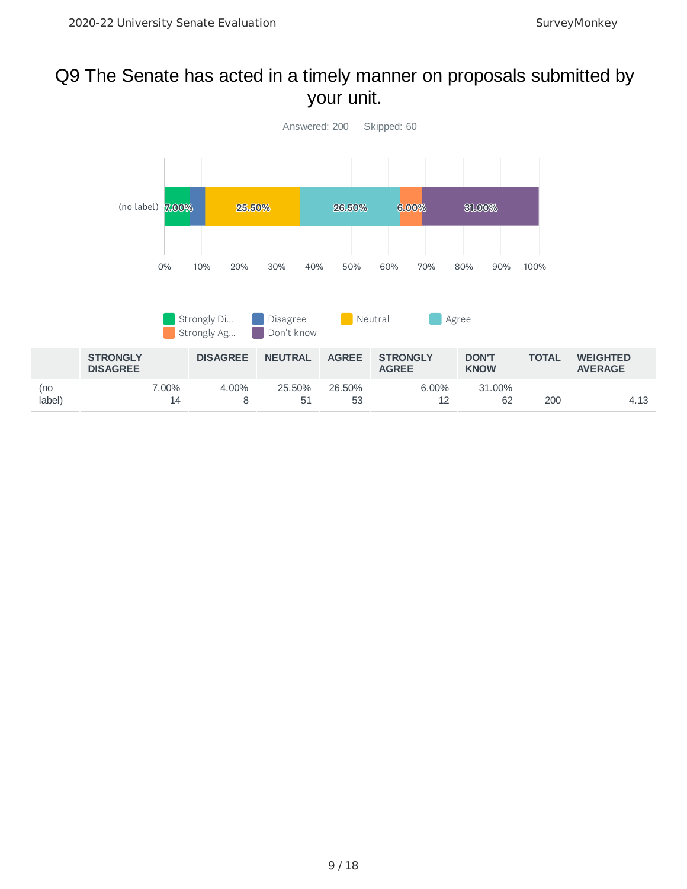# Q9 The Senate has acted in a timely manner on proposals submitted by your unit.

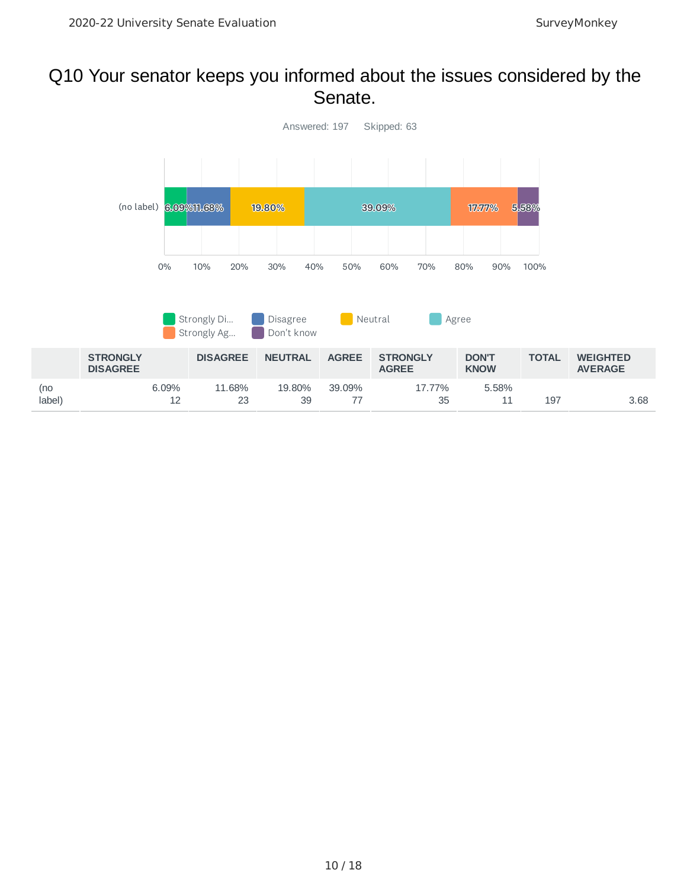#### Q10 Your senator keeps you informed about the issues considered by the Senate.

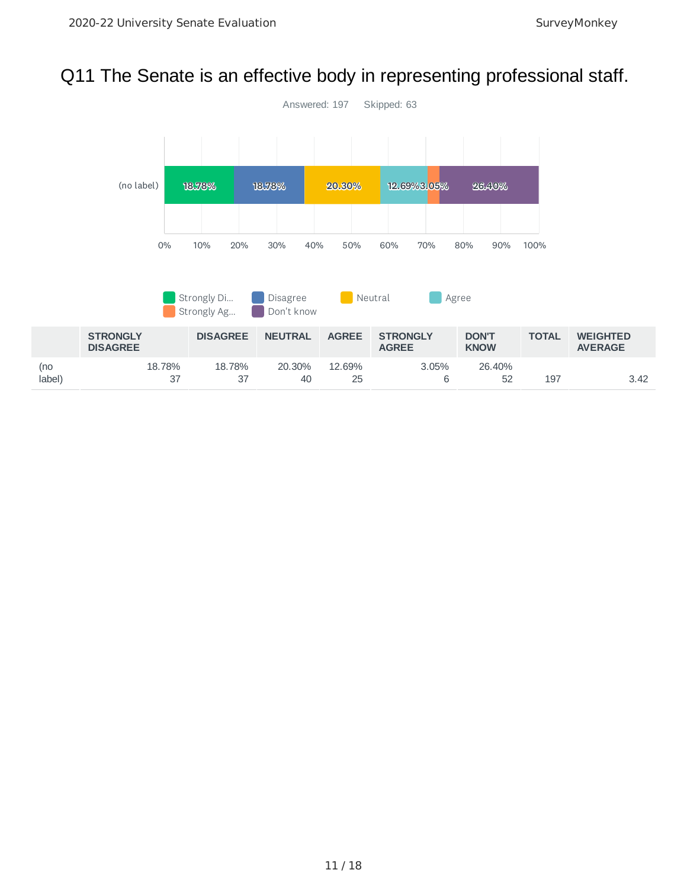# Q11 The Senate is an effective body in representing professional staff.

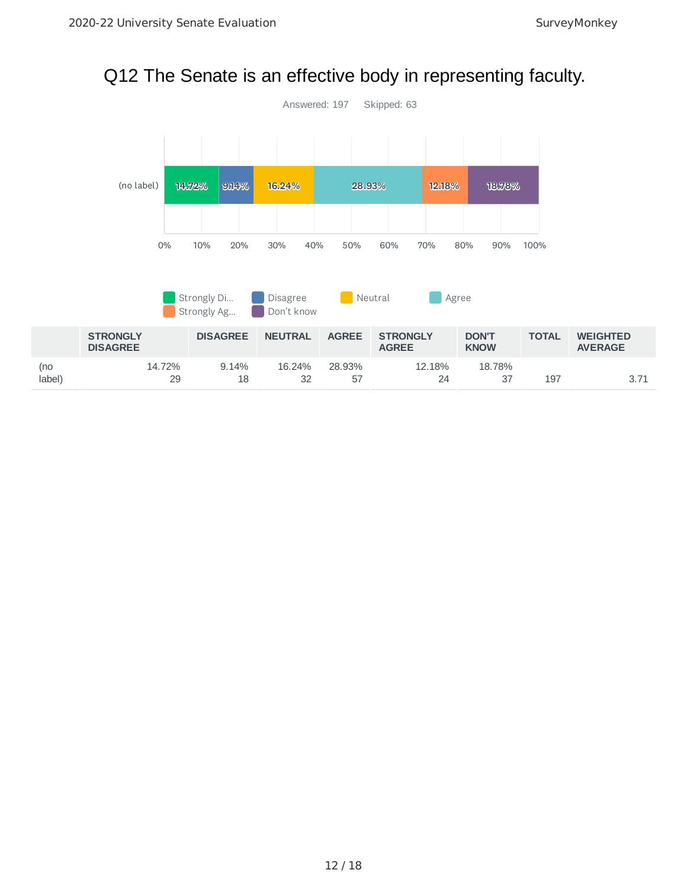# Q12 The Senate is an effective body in representing faculty.

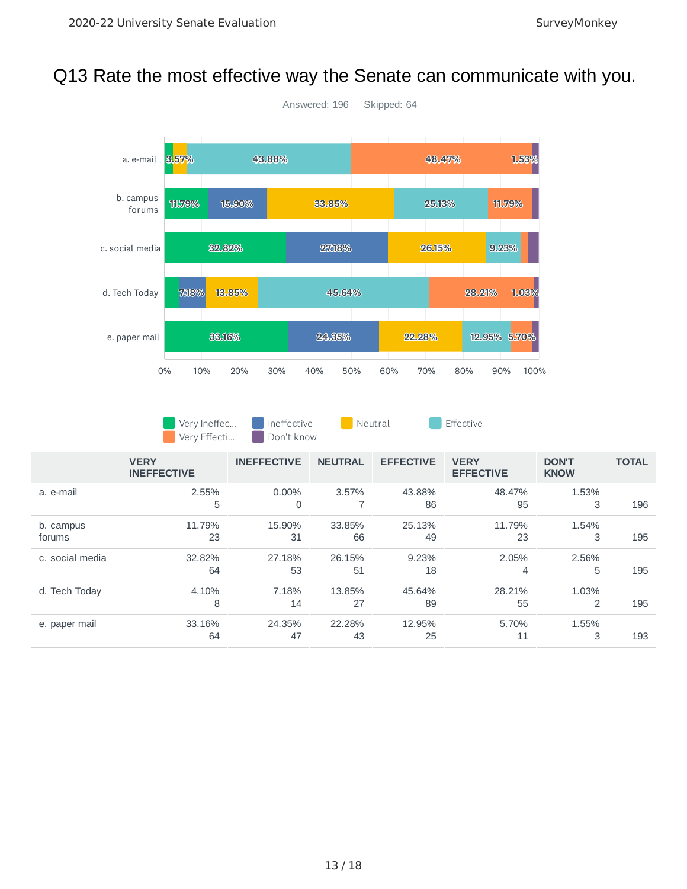# Q13 Rate the most effective way the Senate can communicate with you.



Very Ineffec... Ineffective **Neutral Construction** Effective Very Effecti... **Don't know** 

|                     | <b>VERY</b><br><b>INEFFECTIVE</b> | <b>INEFFECTIVE</b> | <b>NEUTRAL</b> | <b>EFFECTIVE</b> | <b>VERY</b><br><b>EFFECTIVE</b> | <b>DON'T</b><br><b>KNOW</b> | <b>TOTAL</b> |
|---------------------|-----------------------------------|--------------------|----------------|------------------|---------------------------------|-----------------------------|--------------|
| a. e-mail           | 2.55%<br>5                        | $0.00\%$<br>0      | 3.57%          | 43.88%<br>86     | 48.47%<br>95                    | 1.53%<br>3                  | 196          |
| b. campus<br>forums | 11.79%<br>23                      | 15.90%<br>31       | 33.85%<br>66   | 25.13%<br>49     | 11.79%<br>23                    | 1.54%<br>3                  | 195          |
| c. social media     | 32.82%<br>64                      | 27.18%<br>53       | 26.15%<br>51   | 9.23%<br>18      | 2.05%<br>4                      | 2.56%<br>5                  | 195          |
| d. Tech Today       | 4.10%<br>8                        | 7.18%<br>14        | 13.85%<br>27   | 45.64%<br>89     | 28.21%<br>55                    | 1.03%<br>2                  | 195          |
| e. paper mail       | 33.16%<br>64                      | 24.35%<br>47       | 22.28%<br>43   | 12.95%<br>25     | 5.70%<br>11                     | 1.55%<br>3                  | 193          |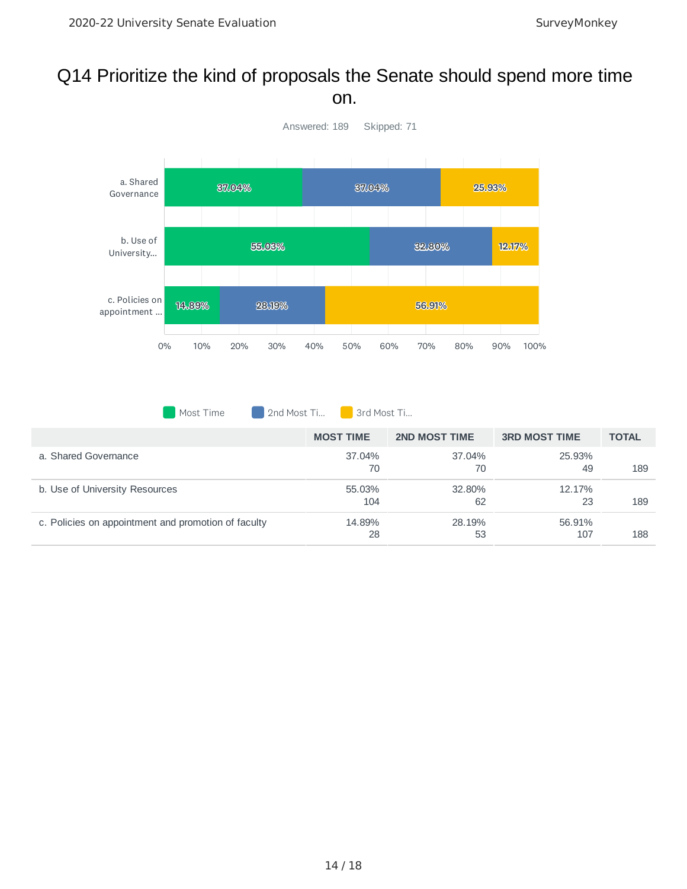#### Q14 Prioritize the kind of proposals the Senate should spend more time on.



Most Time 2nd Most Ti... 3rd Most Ti...

|                                                     | <b>MOST TIME</b> | <b>2ND MOST TIME</b> | <b>3RD MOST TIME</b> | <b>TOTAL</b> |
|-----------------------------------------------------|------------------|----------------------|----------------------|--------------|
| a. Shared Governance                                | 37.04%<br>70     | 37.04%<br>70         | 25.93%<br>49         | 189          |
| b. Use of University Resources                      | 55.03%<br>104    | 32.80%<br>62         | 12.17%<br>23         | 189          |
| c. Policies on appointment and promotion of faculty | 14.89%<br>28     | 28.19%<br>53         | 56.91%<br>107        | 188          |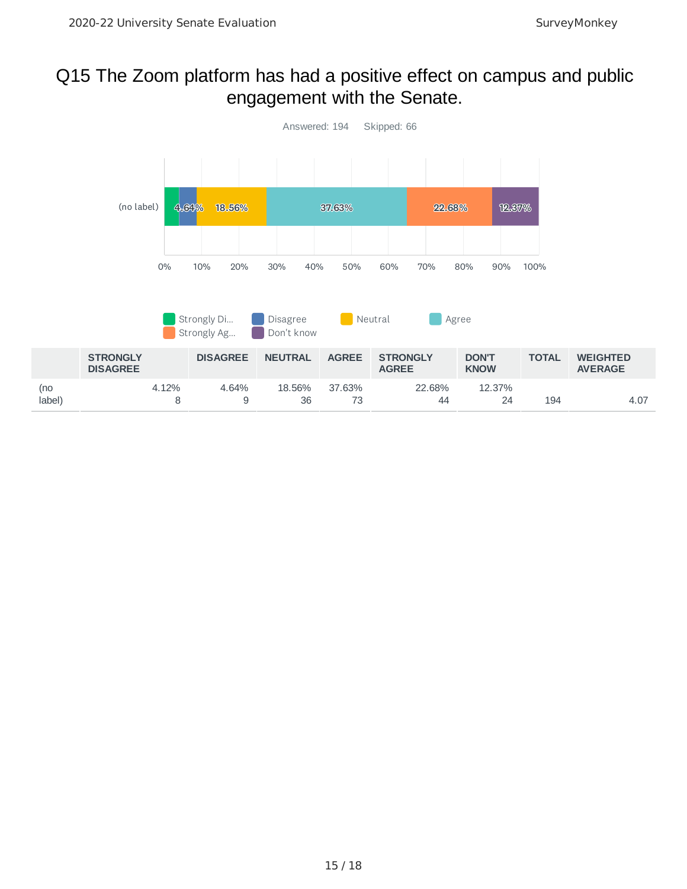# Q15 The Zoom platform has had a positive effect on campus and public engagement with the Senate.

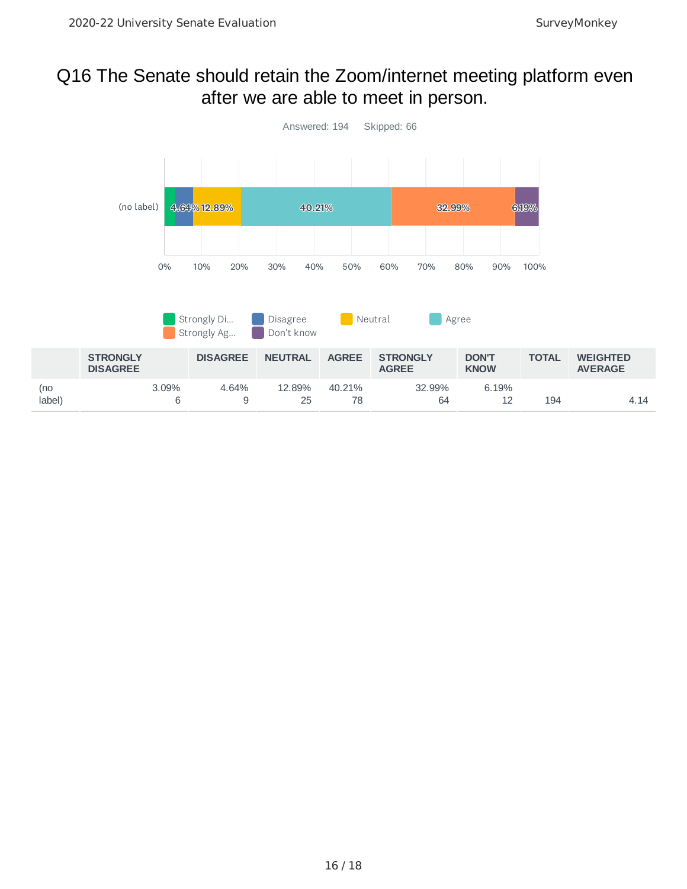# Q16 The Senate should retain the Zoom/internet meeting platform even after we are able to meet in person.

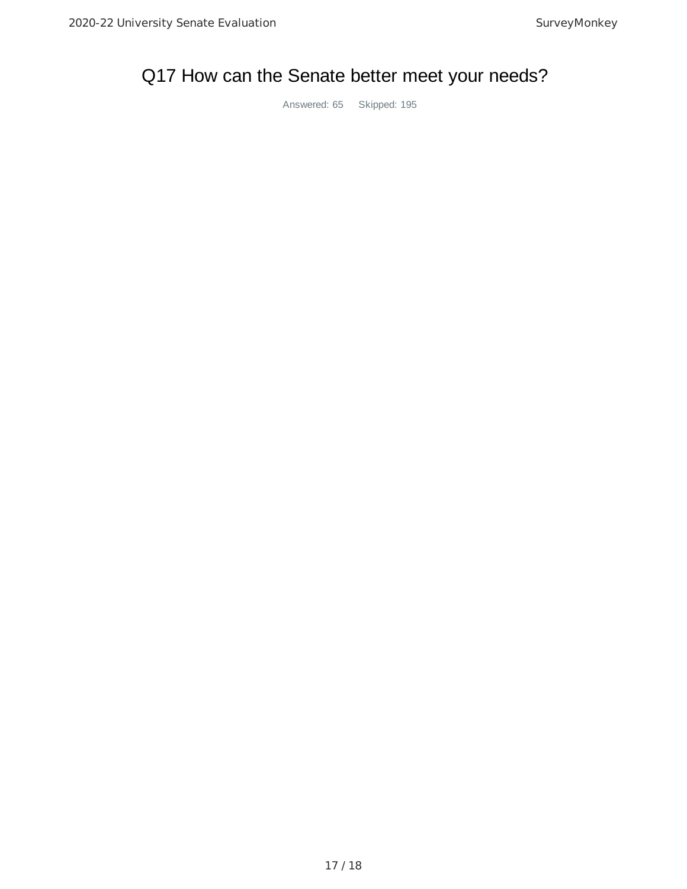# Q17 How can the Senate better meet your needs?

Answered: 65 Skipped: 195